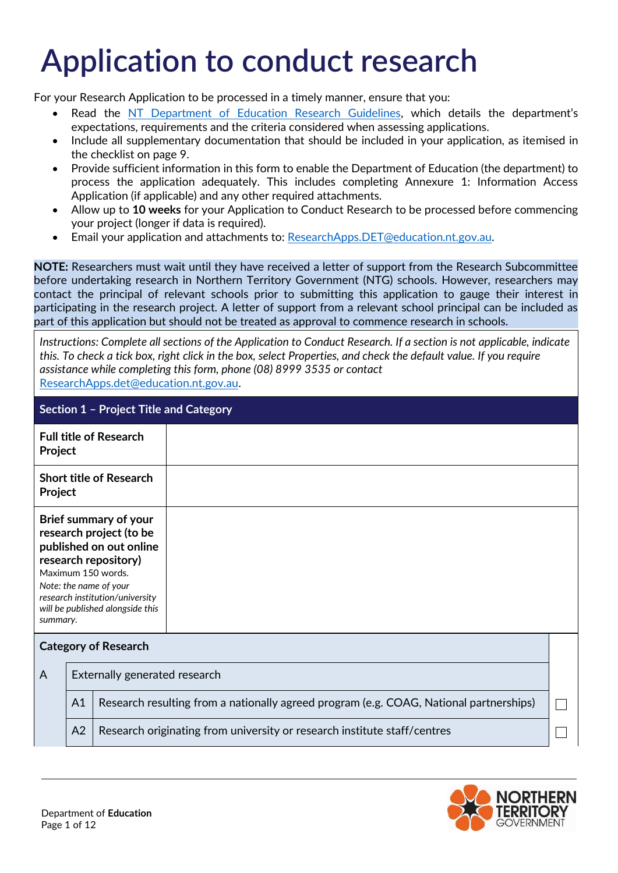## **Application to conduct research**

For your Research Application to be processed in a timely manner, ensure that you:

- Read the [NT Department of Education Research Guidelines](https://education.nt.gov.au/__data/assets/pdf_file/0003/795252/NT-Department-of-Education-research-guidelines.pdf?v=0.1.2), which details the department's expectations, requirements and the criteria considered when assessing applications.
- Include all supplementary documentation that should be included in your application, as itemised in the checklist on page 9.
- Provide sufficient information in this form to enable the Department of Education (the department) to process the application adequately. This includes completing Annexure 1: Information Access Application (if applicable) and any other required attachments.
- Allow up to **10 weeks** for your Application to Conduct Research to be processed before commencing your project (longer if data is required).
- Email your application and attachments to: [ResearchApps.DET@education.nt.gov.au.](mailto:ResearchApps.DET@education.nt.gov.au)

**NOTE:** Researchers must wait until they have received a letter of support from the Research Subcommittee before undertaking research in Northern Territory Government (NTG) schools. However, researchers may contact the principal of relevant schools prior to submitting this application to gauge their interest in participating in the research project. A letter of support from a relevant school principal can be included as part of this application but should not be treated as approval to commence research in schools.

*Instructions: Complete all sections of the Application to Conduct Research. If a section is not applicable, indicate this. To check a tick box, right click in the box, select Properties, and check the default value. If you require assistance while completing this form, phone (08) 8999 3535 or contact*  [ResearchApps.det@education.nt.gov.au.](mailto:ResearchApps.det@education.nt.gov.au)

| Section 1 - Project Title and Category                                                                                                                                                                                                 |                               |                                                                                        |  |  |
|----------------------------------------------------------------------------------------------------------------------------------------------------------------------------------------------------------------------------------------|-------------------------------|----------------------------------------------------------------------------------------|--|--|
| <b>Full title of Research</b><br>Project                                                                                                                                                                                               |                               |                                                                                        |  |  |
| <b>Short title of Research</b><br>Project                                                                                                                                                                                              |                               |                                                                                        |  |  |
| Brief summary of your<br>research project (to be<br>published on out online<br>research repository)<br>Maximum 150 words.<br>Note: the name of your<br>research institution/university<br>will be published alongside this<br>summary. |                               |                                                                                        |  |  |
| <b>Category of Research</b>                                                                                                                                                                                                            |                               |                                                                                        |  |  |
| A                                                                                                                                                                                                                                      | Externally generated research |                                                                                        |  |  |
|                                                                                                                                                                                                                                        | A1                            | Research resulting from a nationally agreed program (e.g. COAG, National partnerships) |  |  |
|                                                                                                                                                                                                                                        | A2                            | Research originating from university or research institute staff/centres               |  |  |

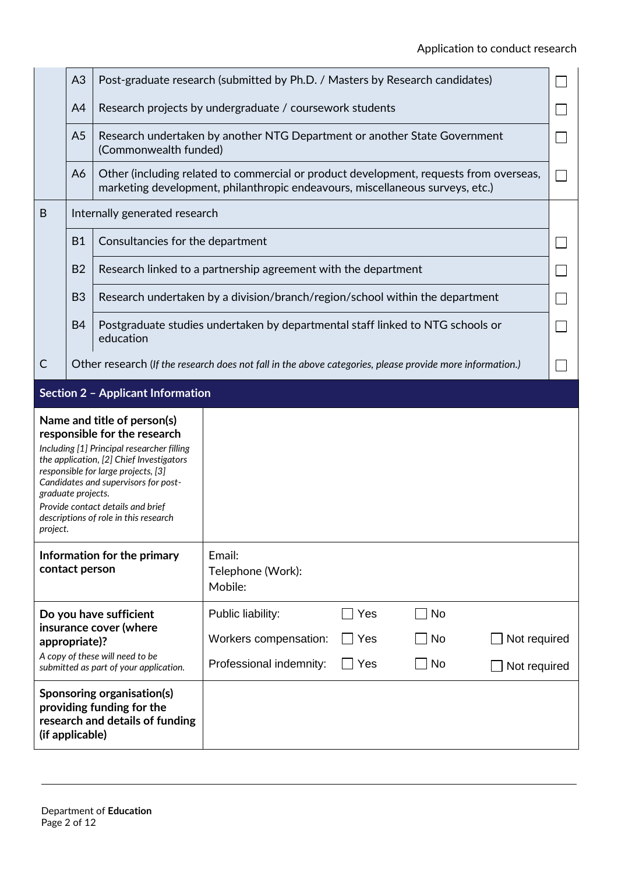|                                                                                                                                                                                                                                                                                                                                                      | A3             | Post-graduate research (submitted by Ph.D. / Masters by Research candidates) |                                                                                                                                                                         |  |
|------------------------------------------------------------------------------------------------------------------------------------------------------------------------------------------------------------------------------------------------------------------------------------------------------------------------------------------------------|----------------|------------------------------------------------------------------------------|-------------------------------------------------------------------------------------------------------------------------------------------------------------------------|--|
|                                                                                                                                                                                                                                                                                                                                                      | A4             |                                                                              | Research projects by undergraduate / coursework students                                                                                                                |  |
|                                                                                                                                                                                                                                                                                                                                                      | A <sub>5</sub> | (Commonwealth funded)                                                        | Research undertaken by another NTG Department or another State Government                                                                                               |  |
|                                                                                                                                                                                                                                                                                                                                                      | A6             |                                                                              | Other (including related to commercial or product development, requests from overseas,<br>marketing development, philanthropic endeavours, miscellaneous surveys, etc.) |  |
| B                                                                                                                                                                                                                                                                                                                                                    |                | Internally generated research                                                |                                                                                                                                                                         |  |
|                                                                                                                                                                                                                                                                                                                                                      | <b>B1</b>      | Consultancies for the department                                             |                                                                                                                                                                         |  |
|                                                                                                                                                                                                                                                                                                                                                      | <b>B2</b>      |                                                                              | Research linked to a partnership agreement with the department                                                                                                          |  |
|                                                                                                                                                                                                                                                                                                                                                      | B <sub>3</sub> |                                                                              | Research undertaken by a division/branch/region/school within the department                                                                                            |  |
|                                                                                                                                                                                                                                                                                                                                                      | <b>B4</b>      | education                                                                    | Postgraduate studies undertaken by departmental staff linked to NTG schools or                                                                                          |  |
| $\mathsf{C}$                                                                                                                                                                                                                                                                                                                                         |                |                                                                              | Other research (If the research does not fall in the above categories, please provide more information.)                                                                |  |
|                                                                                                                                                                                                                                                                                                                                                      |                | <b>Section 2 - Applicant Information</b>                                     |                                                                                                                                                                         |  |
| Name and title of person(s)<br>responsible for the research<br>Including [1] Principal researcher filling<br>the application, [2] Chief Investigators<br>responsible for large projects, [3]<br>Candidates and supervisors for post-<br>graduate projects.<br>Provide contact details and brief<br>descriptions of role in this research<br>project. |                |                                                                              |                                                                                                                                                                         |  |
| Information for the primary<br>contact person                                                                                                                                                                                                                                                                                                        |                |                                                                              | Email:<br>Telephone (Work):<br>Mobile:                                                                                                                                  |  |
| Do you have sufficient                                                                                                                                                                                                                                                                                                                               |                |                                                                              |                                                                                                                                                                         |  |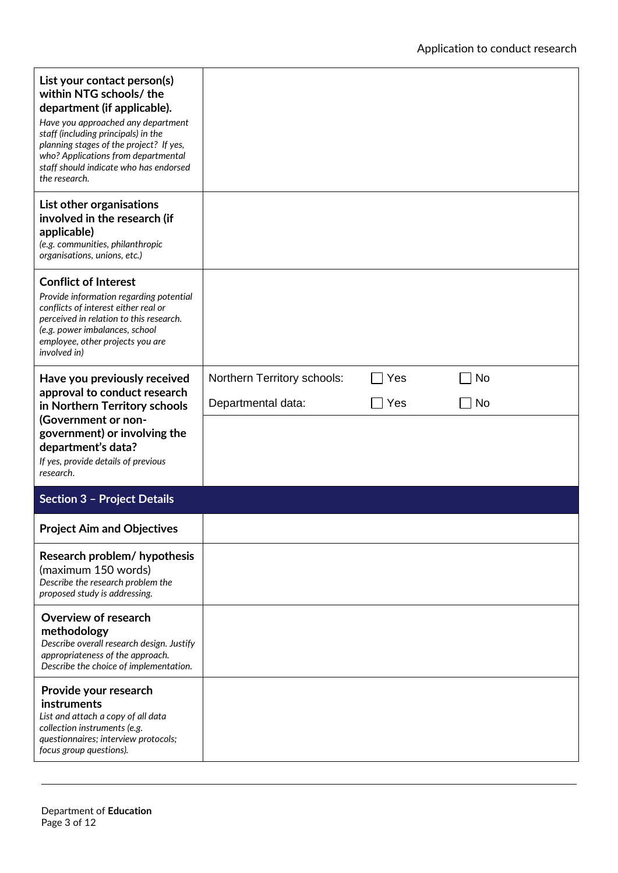| List your contact person(s)<br>within NTG schools/the<br>department (if applicable).<br>Have you approached any department<br>staff (including principals) in the<br>planning stages of the project? If yes,<br>who? Applications from departmental<br>staff should indicate who has endorsed<br>the research. |                             |     |           |
|----------------------------------------------------------------------------------------------------------------------------------------------------------------------------------------------------------------------------------------------------------------------------------------------------------------|-----------------------------|-----|-----------|
| List other organisations<br>involved in the research (if<br>applicable)<br>(e.g. communities, philanthropic<br>organisations, unions, etc.)                                                                                                                                                                    |                             |     |           |
| <b>Conflict of Interest</b><br>Provide information regarding potential<br>conflicts of interest either real or<br>perceived in relation to this research.<br>(e.g. power imbalances, school<br>employee, other projects you are<br>involved in)                                                                |                             |     |           |
| Have you previously received                                                                                                                                                                                                                                                                                   | Northern Territory schools: | Yes | <b>No</b> |
| approval to conduct research<br>in Northern Territory schools                                                                                                                                                                                                                                                  | Departmental data:          | Yes | <b>No</b> |
| (Government or non-<br>government) or involving the<br>department's data?<br>If yes, provide details of previous<br>research.                                                                                                                                                                                  |                             |     |           |
| <b>Section 3 - Project Details</b>                                                                                                                                                                                                                                                                             |                             |     |           |
| <b>Project Aim and Objectives</b>                                                                                                                                                                                                                                                                              |                             |     |           |
| Research problem/ hypothesis<br>(maximum 150 words)<br>Describe the research problem the<br>proposed study is addressing.                                                                                                                                                                                      |                             |     |           |
| Overview of research<br>methodology<br>Describe overall research design. Justify<br>appropriateness of the approach.<br>Describe the choice of implementation.                                                                                                                                                 |                             |     |           |
| Provide your research<br>instruments<br>List and attach a copy of all data<br>collection instruments (e.g.<br>questionnaires; interview protocols;<br>focus group questions).                                                                                                                                  |                             |     |           |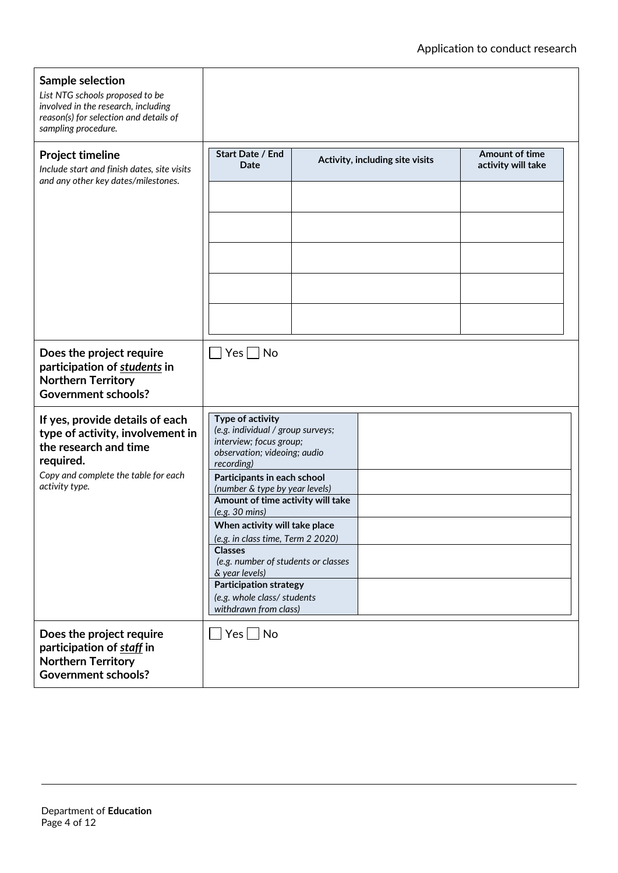| Sample selection<br>List NTG schools proposed to be<br>involved in the research, including<br>reason(s) for selection and details of<br>sampling procedure.                                                                                                                                                                                                                                                                                                                                                                                                                                                                                                             |                          |  |                                 |                                             |  |
|-------------------------------------------------------------------------------------------------------------------------------------------------------------------------------------------------------------------------------------------------------------------------------------------------------------------------------------------------------------------------------------------------------------------------------------------------------------------------------------------------------------------------------------------------------------------------------------------------------------------------------------------------------------------------|--------------------------|--|---------------------------------|---------------------------------------------|--|
| <b>Project timeline</b><br>Include start and finish dates, site visits<br>and any other key dates/milestones.                                                                                                                                                                                                                                                                                                                                                                                                                                                                                                                                                           | Start Date / End<br>Date |  | Activity, including site visits | <b>Amount of time</b><br>activity will take |  |
| Does the project require<br>participation of students in<br><b>Northern Territory</b><br><b>Government schools?</b>                                                                                                                                                                                                                                                                                                                                                                                                                                                                                                                                                     | $Yes \nightharpoonup No$ |  |                                 |                                             |  |
| Type of activity<br>If yes, provide details of each<br>(e.g. individual / group surveys;<br>type of activity, involvement in<br>interview; focus group;<br>the research and time<br>observation; videoing; audio<br>required.<br>recording)<br>Copy and complete the table for each<br>Participants in each school<br>activity type.<br>(number & type by year levels)<br>Amount of time activity will take<br>(e.g. 30 mins)<br>When activity will take place<br>(e.g. in class time, Term 2 2020)<br><b>Classes</b><br>(e.g. number of students or classes<br>& year levels)<br><b>Participation strategy</b><br>(e.g. whole class/ students<br>withdrawn from class) |                          |  |                                 |                                             |  |
| Does the project require<br>participation of staff in<br><b>Northern Territory</b><br><b>Government schools?</b>                                                                                                                                                                                                                                                                                                                                                                                                                                                                                                                                                        | ∐ Yes  _   No            |  |                                 |                                             |  |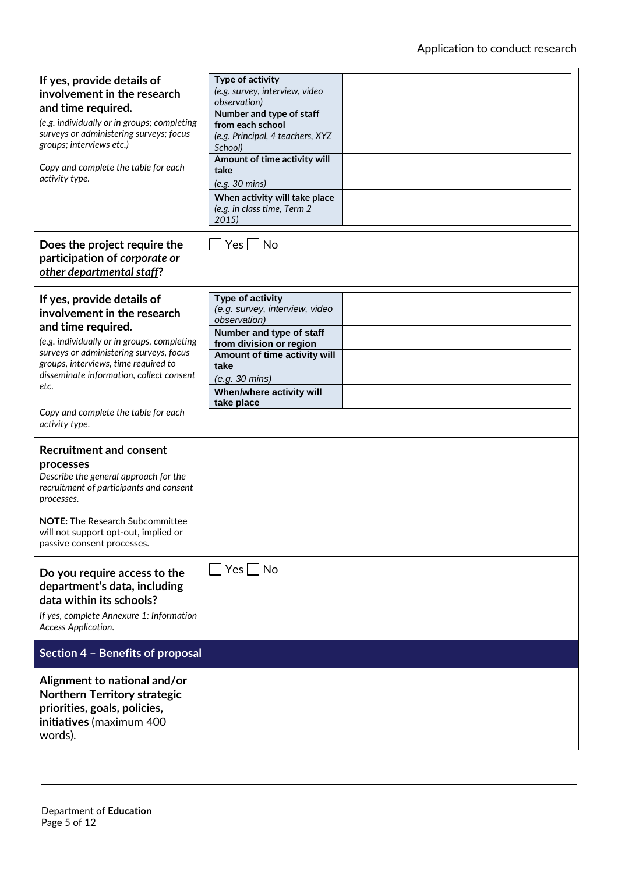| If yes, provide details of<br>involvement in the research<br>and time required.<br>(e.g. individually or in groups; completing<br>surveys or administering surveys; focus<br>groups; interviews etc.)<br>Copy and complete the table for each<br>activity type.                                                                                                                                                                                                                                                                                                                                  | Type of activity<br>(e.g. survey, interview, video<br>observation)<br>Number and type of staff<br>from each school<br>(e.g. Principal, 4 teachers, XYZ<br>School)<br>Amount of time activity will<br>take<br>(e.g. 30 mins)<br>When activity will take place<br>(e.g. in class time, Term 2<br>2015 |
|--------------------------------------------------------------------------------------------------------------------------------------------------------------------------------------------------------------------------------------------------------------------------------------------------------------------------------------------------------------------------------------------------------------------------------------------------------------------------------------------------------------------------------------------------------------------------------------------------|-----------------------------------------------------------------------------------------------------------------------------------------------------------------------------------------------------------------------------------------------------------------------------------------------------|
| Does the project require the<br>participation of corporate or<br>other departmental staff?                                                                                                                                                                                                                                                                                                                                                                                                                                                                                                       | Yes     No                                                                                                                                                                                                                                                                                          |
| If yes, provide details of<br>involvement in the research<br>and time required.<br>(e.g. individually or in groups, completing<br>surveys or administering surveys, focus<br>groups, interviews, time required to<br>disseminate information, collect consent<br>etc.<br>Copy and complete the table for each<br>activity type.<br><b>Recruitment and consent</b><br>processes<br>Describe the general approach for the<br>recruitment of participants and consent<br>processes.<br><b>NOTE:</b> The Research Subcommittee<br>will not support opt-out, implied or<br>passive consent processes. | Type of activity<br>(e.g. survey, interview, video<br>observation)<br>Number and type of staff<br>from division or region<br>Amount of time activity will<br>take<br>(e.g. 30 mins)<br>When/where activity will<br>take place                                                                       |
| Do you require access to the<br>department's data, including<br>data within its schools?<br>If yes, complete Annexure 1: Information<br>Access Application.                                                                                                                                                                                                                                                                                                                                                                                                                                      | $Yes \mid \text{No}$                                                                                                                                                                                                                                                                                |
| Section 4 - Benefits of proposal                                                                                                                                                                                                                                                                                                                                                                                                                                                                                                                                                                 |                                                                                                                                                                                                                                                                                                     |
| Alignment to national and/or<br><b>Northern Territory strategic</b><br>priorities, goals, policies,<br>initiatives (maximum 400<br>words).                                                                                                                                                                                                                                                                                                                                                                                                                                                       |                                                                                                                                                                                                                                                                                                     |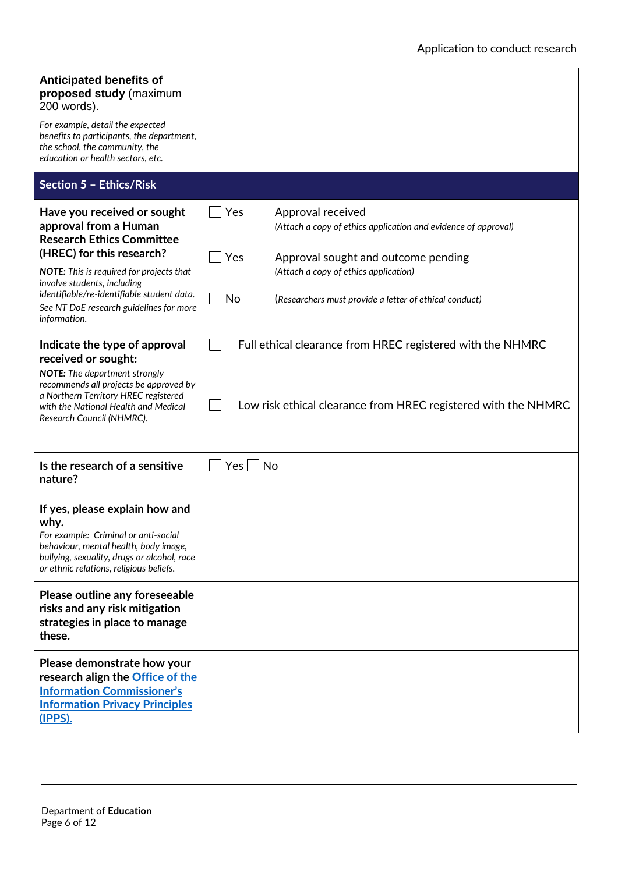| <b>Anticipated benefits of</b><br>proposed study (maximum<br>200 words).<br>For example, detail the expected<br>benefits to participants, the department,<br>the school, the community, the<br>education or health sectors, etc.                                                                          |                                                                                                                                                                                                                                                   |  |
|-----------------------------------------------------------------------------------------------------------------------------------------------------------------------------------------------------------------------------------------------------------------------------------------------------------|---------------------------------------------------------------------------------------------------------------------------------------------------------------------------------------------------------------------------------------------------|--|
| Section 5 - Ethics/Risk                                                                                                                                                                                                                                                                                   |                                                                                                                                                                                                                                                   |  |
| Have you received or sought<br>approval from a Human<br><b>Research Ethics Committee</b><br>(HREC) for this research?<br>NOTE: This is required for projects that<br>involve students, including<br>identifiable/re-identifiable student data.<br>See NT DoE research guidelines for more<br>information. | Yes<br>Approval received<br>(Attach a copy of ethics application and evidence of approval)<br>Yes<br>Approval sought and outcome pending<br>(Attach a copy of ethics application)<br>No<br>(Researchers must provide a letter of ethical conduct) |  |
| Indicate the type of approval<br>received or sought:<br>NOTE: The department strongly<br>recommends all projects be approved by<br>a Northern Territory HREC registered<br>with the National Health and Medical<br>Research Council (NHMRC).                                                              | Full ethical clearance from HREC registered with the NHMRC<br>Low risk ethical clearance from HREC registered with the NHMRC                                                                                                                      |  |
| Is the research of a sensitive<br>nature?                                                                                                                                                                                                                                                                 | $Yes \mid \text{No}$                                                                                                                                                                                                                              |  |
| If yes, please explain how and<br>why.<br>For example: Criminal or anti-social<br>behaviour, mental health, body image,<br>bullying, sexuality, drugs or alcohol, race<br>or ethnic relations, religious beliefs.                                                                                         |                                                                                                                                                                                                                                                   |  |
| Please outline any foreseeable<br>risks and any risk mitigation<br>strategies in place to manage<br>these.                                                                                                                                                                                                |                                                                                                                                                                                                                                                   |  |
| Please demonstrate how your<br>research align the <b>Office of the</b><br><b>Information Commissioner's</b><br><b>Information Privacy Principles</b><br>(IPPS).                                                                                                                                           |                                                                                                                                                                                                                                                   |  |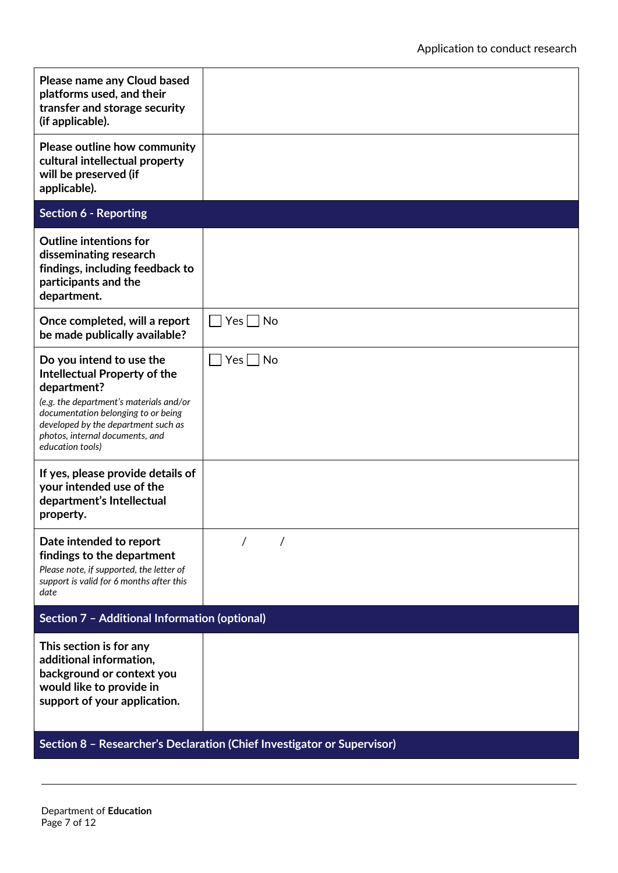| Please name any Cloud based<br>platforms used, and their<br>transfer and storage security<br>(if applicable).                                                                                                                                                  |                      |  |
|----------------------------------------------------------------------------------------------------------------------------------------------------------------------------------------------------------------------------------------------------------------|----------------------|--|
| Please outline how community<br>cultural intellectual property<br>will be preserved (if<br>applicable).                                                                                                                                                        |                      |  |
| <b>Section 6 - Reporting</b>                                                                                                                                                                                                                                   |                      |  |
| <b>Outline intentions for</b><br>disseminating research<br>findings, including feedback to<br>participants and the<br>department.                                                                                                                              |                      |  |
| Once completed, will a report<br>be made publically available?                                                                                                                                                                                                 | $\Box$ Yes $\Box$ No |  |
| Do you intend to use the<br><b>Intellectual Property of the</b><br>department?<br>(e.g. the department's materials and/or<br>documentation belonging to or being<br>developed by the department such as<br>photos, internal documents, and<br>education tools) | $Yes \mid \text{No}$ |  |
| If yes, please provide details of<br>your intended use of the<br>department's Intellectual<br>property.                                                                                                                                                        |                      |  |
| Date intended to report<br>findings to the department<br>Please note, if supported, the letter of<br>support is valid for 6 months after this<br>date                                                                                                          |                      |  |
| Section 7 - Additional Information (optional)                                                                                                                                                                                                                  |                      |  |
| This section is for any<br>additional information,<br>background or context you<br>would like to provide in<br>support of your application.                                                                                                                    |                      |  |
| Section 8 - Researcher's Declaration (Chief Investigator or Supervisor)                                                                                                                                                                                        |                      |  |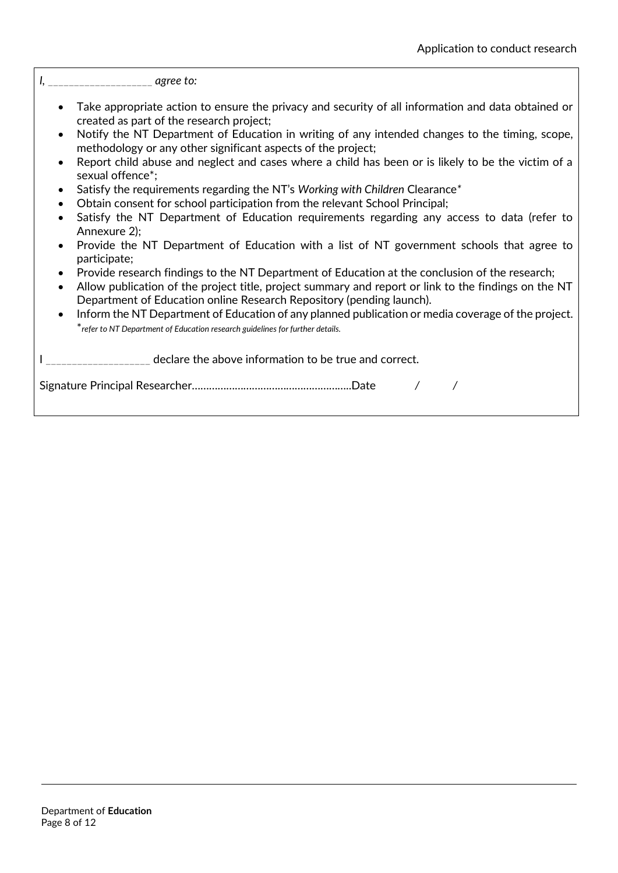*I,* \_\_\_\_\_\_\_\_\_\_\_\_\_\_\_\_\_\_\_\_ *agree to:* 

- Take appropriate action to ensure the privacy and security of all information and data obtained or created as part of the research project;
- Notify the NT Department of Education in writing of any intended changes to the timing, scope, methodology or any other significant aspects of the project;
- Report child abuse and neglect and cases where a child has been or is likely to be the victim of a sexual offence\*;
- Satisfy the requirements regarding the NT's *Working with Children* Clearance*\**
- Obtain consent for school participation from the relevant School Principal;
- Satisfy the NT Department of Education requirements regarding any access to data (refer to Annexure 2);
- Provide the NT Department of Education with a list of NT government schools that agree to participate;
- Provide research findings to the NT Department of Education at the conclusion of the research;
- Allow publication of the project title, project summary and report or link to the findings on the NT Department of Education online Research Repository (pending launch).
- Inform the NT Department of Education of any planned publication or media coverage of the project. \**refer to NT Department of Education research guidelines for further details.*

I declare the above information to be true and correct.

Signature Principal Researcher………………………………………………..Date */ /*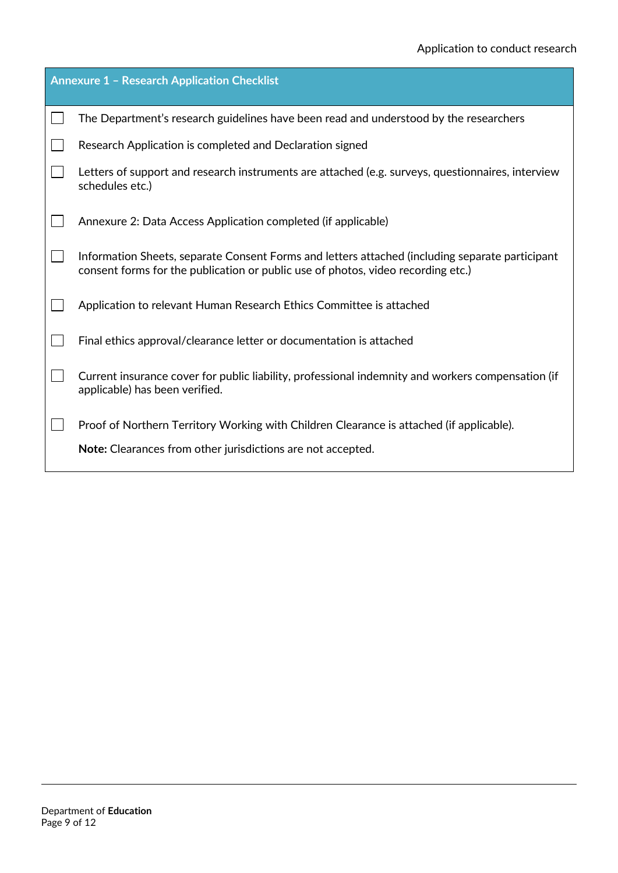| <b>Annexure 1 - Research Application Checklist</b> |                                                                                                                                                                                     |  |
|----------------------------------------------------|-------------------------------------------------------------------------------------------------------------------------------------------------------------------------------------|--|
|                                                    | The Department's research guidelines have been read and understood by the researchers                                                                                               |  |
|                                                    | Research Application is completed and Declaration signed                                                                                                                            |  |
|                                                    | Letters of support and research instruments are attached (e.g. surveys, questionnaires, interview<br>schedules etc.)                                                                |  |
|                                                    | Annexure 2: Data Access Application completed (if applicable)                                                                                                                       |  |
|                                                    | Information Sheets, separate Consent Forms and letters attached (including separate participant<br>consent forms for the publication or public use of photos, video recording etc.) |  |
|                                                    | Application to relevant Human Research Ethics Committee is attached                                                                                                                 |  |
|                                                    | Final ethics approval/clearance letter or documentation is attached                                                                                                                 |  |
|                                                    | Current insurance cover for public liability, professional indemnity and workers compensation (if<br>applicable) has been verified.                                                 |  |
|                                                    | Proof of Northern Territory Working with Children Clearance is attached (if applicable).                                                                                            |  |
|                                                    | Note: Clearances from other jurisdictions are not accepted.                                                                                                                         |  |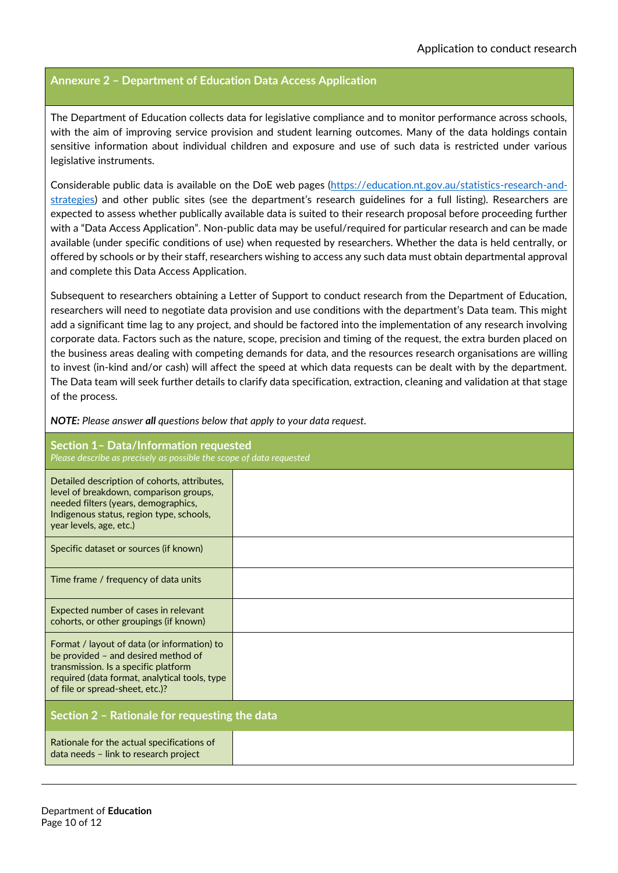## **Annexure 2 – Department of Education Data Access Application**

The Department of Education collects data for legislative compliance and to monitor performance across schools, with the aim of improving service provision and student learning outcomes. Many of the data holdings contain sensitive information about individual children and exposure and use of such data is restricted under various legislative instruments.

Considerable public data is available on the DoE web pages [\(https://education.nt.gov.au/statistics-research-and](https://education.nt.gov.au/statistics-research-and-strategies)[strategies](https://education.nt.gov.au/statistics-research-and-strategies)) and other public sites (see the department's research guidelines for a full listing). Researchers are expected to assess whether publically available data is suited to their research proposal before proceeding further with a "Data Access Application". Non-public data may be useful/required for particular research and can be made available (under specific conditions of use) when requested by researchers. Whether the data is held centrally, or offered by schools or by their staff, researchers wishing to access any such data must obtain departmental approval and complete this Data Access Application.

Subsequent to researchers obtaining a Letter of Support to conduct research from the Department of Education, researchers will need to negotiate data provision and use conditions with the department's Data team. This might add a significant time lag to any project, and should be factored into the implementation of any research involving corporate data. Factors such as the nature, scope, precision and timing of the request, the extra burden placed on the business areas dealing with competing demands for data, and the resources research organisations are willing to invest (in-kind and/or cash) will affect the speed at which data requests can be dealt with by the department. The Data team will seek further details to clarify data specification, extraction, cleaning and validation at that stage of the process.

*NOTE: Please answer all questions below that apply to your data request.*

| <b>Section 1- Data/Information requested</b><br>Please describe as precisely as possible the scope of data requested                                                                                           |  |  |
|----------------------------------------------------------------------------------------------------------------------------------------------------------------------------------------------------------------|--|--|
| Detailed description of cohorts, attributes,<br>level of breakdown, comparison groups,<br>needed filters (years, demographics,<br>Indigenous status, region type, schools,<br>year levels, age, etc.)          |  |  |
| Specific dataset or sources (if known)                                                                                                                                                                         |  |  |
| Time frame / frequency of data units                                                                                                                                                                           |  |  |
| Expected number of cases in relevant<br>cohorts, or other groupings (if known)                                                                                                                                 |  |  |
| Format / layout of data (or information) to<br>be provided - and desired method of<br>transmission. Is a specific platform<br>required (data format, analytical tools, type<br>of file or spread-sheet, etc.)? |  |  |
| Section 2 - Rationale for requesting the data                                                                                                                                                                  |  |  |
| Rationale for the actual specifications of<br>data needs - link to research project                                                                                                                            |  |  |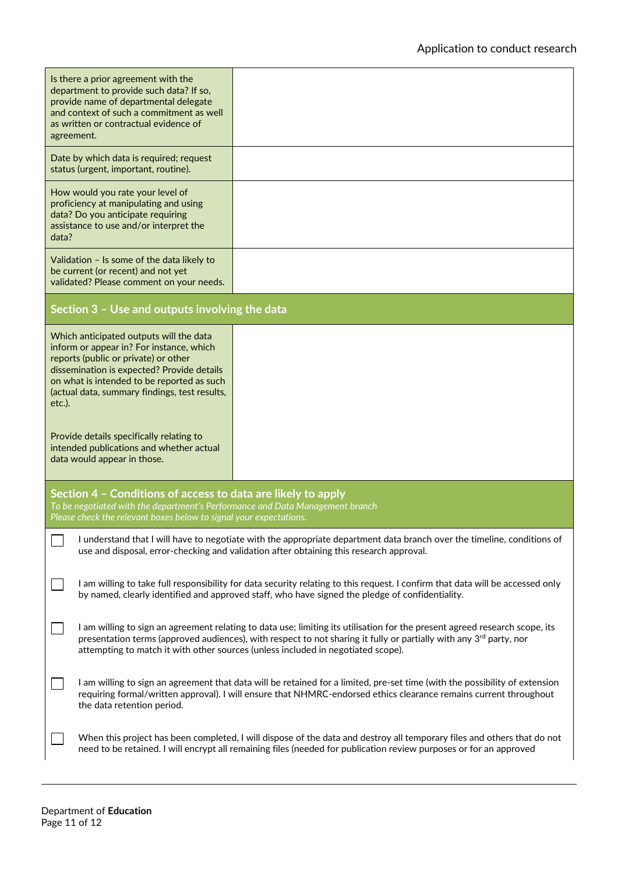| Is there a prior agreement with the<br>department to provide such data? If so,<br>provide name of departmental delegate<br>and context of such a commitment as well<br>as written or contractual evidence of<br>agreement.                                                                                                                 |                                                                                                                                                                                                                                                  |  |
|--------------------------------------------------------------------------------------------------------------------------------------------------------------------------------------------------------------------------------------------------------------------------------------------------------------------------------------------|--------------------------------------------------------------------------------------------------------------------------------------------------------------------------------------------------------------------------------------------------|--|
| Date by which data is required; request<br>status (urgent, important, routine).                                                                                                                                                                                                                                                            |                                                                                                                                                                                                                                                  |  |
| How would you rate your level of<br>proficiency at manipulating and using<br>data? Do you anticipate requiring<br>assistance to use and/or interpret the<br>data?                                                                                                                                                                          |                                                                                                                                                                                                                                                  |  |
| Validation - Is some of the data likely to<br>be current (or recent) and not yet<br>validated? Please comment on your needs.                                                                                                                                                                                                               |                                                                                                                                                                                                                                                  |  |
| Section 3 - Use and outputs involving the data                                                                                                                                                                                                                                                                                             |                                                                                                                                                                                                                                                  |  |
| Which anticipated outputs will the data<br>inform or appear in? For instance, which<br>reports (public or private) or other<br>dissemination is expected? Provide details<br>on what is intended to be reported as such<br>(actual data, summary findings, test results,<br>$etc.$ ).                                                      |                                                                                                                                                                                                                                                  |  |
| Provide details specifically relating to<br>intended publications and whether actual<br>data would appear in those.                                                                                                                                                                                                                        |                                                                                                                                                                                                                                                  |  |
| Section 4 - Conditions of access to data are likely to apply<br>To be negotiated with the department's Performance and Data Management branch<br>Please check the relevant boxes below to signal your expectations.                                                                                                                        |                                                                                                                                                                                                                                                  |  |
| I understand that I will have to negotiate with the appropriate department data branch over the timeline, conditions of<br>use and disposal, error-checking and validation after obtaining this research approval.                                                                                                                         |                                                                                                                                                                                                                                                  |  |
| I am willing to take full responsibility for data security relating to this request. I confirm that data will be accessed only<br>by named, clearly identified and approved staff, who have signed the pledge of confidentiality.                                                                                                          |                                                                                                                                                                                                                                                  |  |
| I am willing to sign an agreement relating to data use; limiting its utilisation for the present agreed research scope, its<br>presentation terms (approved audiences), with respect to not sharing it fully or partially with any $3^{rd}$ party, nor<br>attempting to match it with other sources (unless included in negotiated scope). |                                                                                                                                                                                                                                                  |  |
| the data retention period.                                                                                                                                                                                                                                                                                                                 | I am willing to sign an agreement that data will be retained for a limited, pre-set time (with the possibility of extension<br>requiring formal/written approval). I will ensure that NHMRC-endorsed ethics clearance remains current throughout |  |
| When this project has been completed, I will dispose of the data and destroy all temporary files and others that do not<br>need to be retained. I will encrypt all remaining files (needed for publication review purposes or for an approved                                                                                              |                                                                                                                                                                                                                                                  |  |